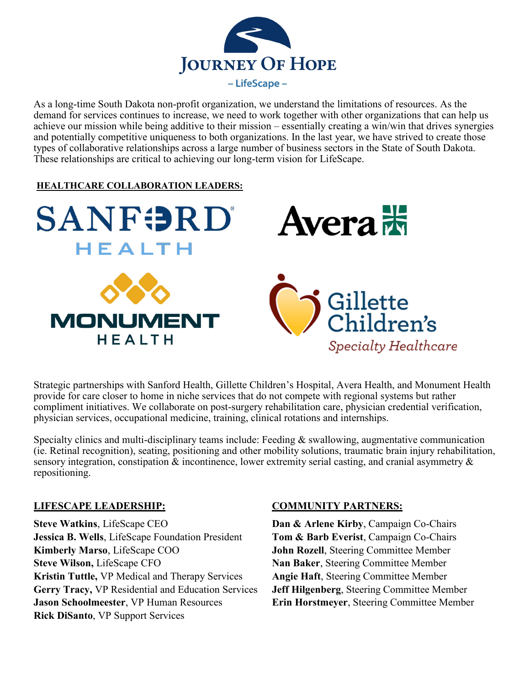

As a long-time South Dakota non-profit organization, we understand the limitations of resources. As the demand for services continues to increase, we need to work together with other organizations that can help us achieve our mission while being additive to their mission – essentially creating a win/win that drives synergies and potentially competitive uniqueness to both organizations. In the last year, we have strived to create those types of collaborative relationships across a large number of business sectors in the State of South Dakota. These relationships are critical to achieving our long-term vision for LifeScape.

## **HEALTHCARE COLLABORATION LEADERS:**



Strategic partnerships with Sanford Health, Gillette Children's Hospital, Avera Health, and Monument Health provide for care closer to home in niche services that do not compete with regional systems but rather compliment initiatives. We collaborate on post-surgery rehabilitation care, physician credential verification, physician services, occupational medicine, training, clinical rotations and internships.

Specialty clinics and multi-disciplinary teams include: Feeding & swallowing, augmentative communication (ie. Retinal recognition), seating, positioning and other mobility solutions, traumatic brain injury rehabilitation, sensory integration, constipation & incontinence, lower extremity serial casting, and cranial asymmetry & repositioning.

## **LIFESCAPE LEADERSHIP:**

**Steve Watkins**, LifeScape CEO **Jessica B. Wells**, LifeScape Foundation President **Kimberly Marso**, LifeScape COO **Steve Wilson,** LifeScape CFO **Kristin Tuttle,** VP Medical and Therapy Services **Gerry Tracy,** VP Residential and Education Services **Jason Schoolmeester**, VP Human Resources **Rick DiSanto**, VP Support Services

# **COMMUNITY PARTNERS:**

**Dan & Arlene Kirby**, Campaign Co-Chairs **Tom & Barb Everist**, Campaign Co-Chairs **John Rozell**, Steering Committee Member **Nan Baker**, Steering Committee Member **Angie Haft**, Steering Committee Member **Jeff Hilgenberg**, Steering Committee Member **Erin Horstmeyer**, Steering Committee Member